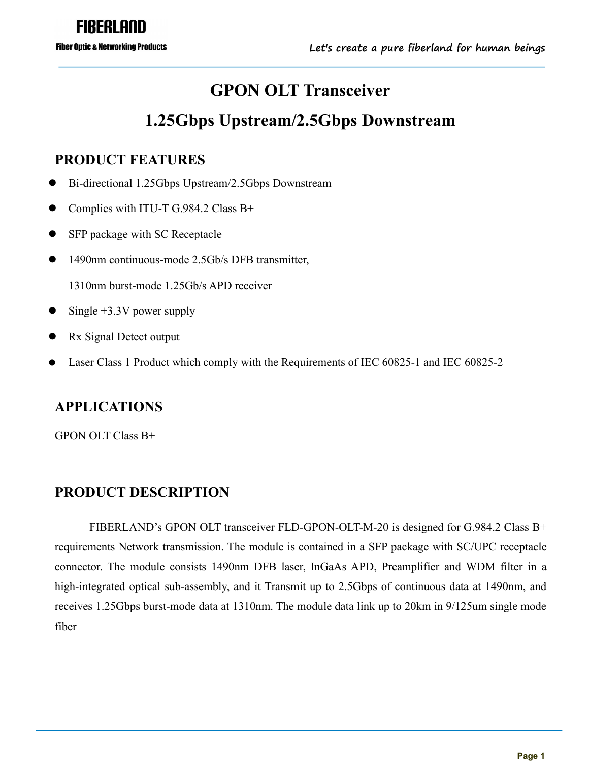# **GPON OLT Transceiver**

# **1.25Gbps Upstream/2.5Gbps Downstream**

#### **PRODUCT FEATURES**

- Bi-directional 1.25Gbps Upstream/2.5Gbps Downstream
- Complies with ITU-T G.984.2 Class B+
- SFP package with SC Receptacle
- 1490nm continuous-mode 2.5Gb/s DFB transmitter,

1310nm burst-mode 1.25Gb/s APD receiver

- Single +3.3V power supply
- Rx Signal Detect output
- Laser Class 1 Product which comply with the Requirements of IEC 60825-1 and IEC 60825-2

#### **APPLICATIONS**

GPON OLTClass B+

#### **PRODUCT DESCRIPTION**

FIBERLAND's GPON OLT transceiver FLD-GPON-OLT-M-20 is designed for G.984.2 Class B+ requirements Network transmission. The module is contained in a SFP package with SC/UPC receptacle connector. The module consists 1490nm DFB laser, InGaAs APD, Preamplifier and WDM filter in a high-integrated optical sub-assembly, and it Transmit up to 2.5Gbps of continuous data at 1490nm, and receives 1.25Gbps burst-mode data at 1310nm. The module data link up to 20km in 9/125um single mode fiber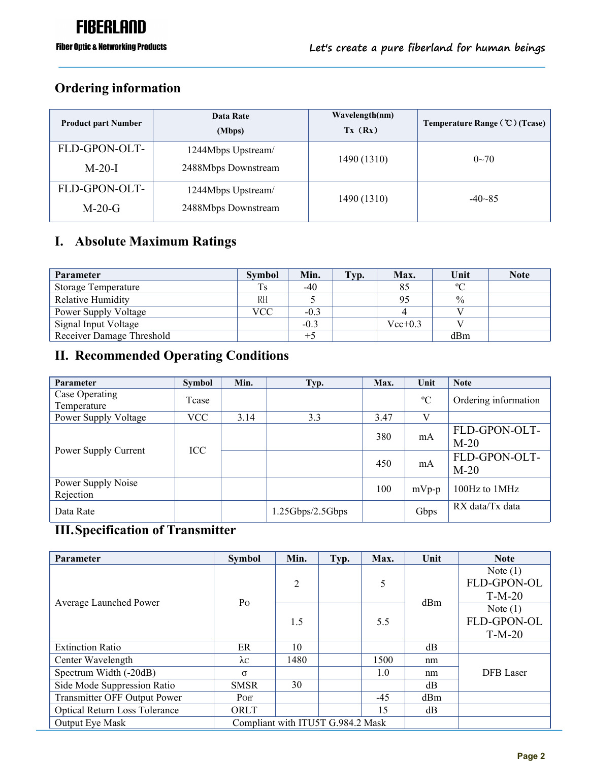#### **Ordering information**

| Data Rate<br>(Mbps) | Wavelength(nm)<br>Tx (Rx) | Temperature Range (°C) (Tcase) |  |
|---------------------|---------------------------|--------------------------------|--|
| 1244Mbps Upstream/  |                           | $0 - 70$                       |  |
| 2488Mbps Downstream |                           |                                |  |
| 1244Mbps Upstream/  |                           | $-40 - 85$                     |  |
| 2488Mbps Downstream |                           |                                |  |
|                     |                           | 1490 (1310)<br>1490 (1310)     |  |

#### **I. Absolute Maximum Ratings**

| Parameter                  | <b>Symbol</b> | Min.   | Typ. | Max.        | Unit        | <b>Note</b> |
|----------------------------|---------------|--------|------|-------------|-------------|-------------|
| <b>Storage Temperature</b> | Ts            | $-40$  |      | 85          | $\rm ^{o}C$ |             |
| Relative Humidity          | <b>RH</b>     |        |      | 95          | $\%$        |             |
| Power Supply Voltage       | <b>VCC</b>    | $-0.3$ |      |             |             |             |
| Signal Input Voltage       |               | $-0.3$ |      | $Vec{+}0.3$ |             |             |
| Receiver Damage Threshold  |               | $+5$   |      |             | dBm         |             |

### **II. Recommended Operating Conditions**

| Parameter                       | <b>Symbol</b> | Min. | Typ.             | Max. | Unit        | <b>Note</b>             |
|---------------------------------|---------------|------|------------------|------|-------------|-------------------------|
| Case Operating<br>Temperature   | Tcase         |      |                  |      | $\rm ^{o}C$ | Ordering information    |
| Power Supply Voltage            | <b>VCC</b>    | 3.14 | 3.3              | 3.47 | V           |                         |
|                                 |               |      |                  | 380  | mA          | FLD-GPON-OLT-<br>$M-20$ |
| Power Supply Current            | <b>ICC</b>    |      |                  | 450  | mA          | FLD-GPON-OLT-<br>$M-20$ |
| Power Supply Noise<br>Rejection |               |      |                  | 100  | $mVp-p$     | 100Hz to 1MHz           |
| Data Rate                       |               |      | 1.25Gbps/2.5Gbps |      | Gbps        | RX data/Tx data         |

#### **III.Specification of Transmitter**

| Parameter                            | Symbol      | Min.                              | Typ. | Max.  | Unit | <b>Note</b>      |
|--------------------------------------|-------------|-----------------------------------|------|-------|------|------------------|
|                                      |             |                                   |      |       |      | Note $(1)$       |
|                                      |             | $\overline{2}$                    |      | 5     |      | FLD-GPON-OL      |
|                                      |             |                                   |      |       |      | $T-M-20$         |
| Average Launched Power               | Po          |                                   |      |       | dBm  | Note $(1)$       |
|                                      |             | 1.5                               |      | 5.5   |      | FLD-GPON-OL      |
|                                      |             |                                   |      |       |      | $T-M-20$         |
| <b>Extinction Ratio</b>              | ER          | 10                                |      |       | dB   |                  |
| Center Wavelength                    | $\lambda c$ | 1480                              |      | 1500  | nm   |                  |
| Spectrum Width (-20dB)               | $\sigma$    |                                   |      | 1.0   | nm   | <b>DFB</b> Laser |
| Side Mode Suppression Ratio          | <b>SMSR</b> | 30                                |      |       | dB   |                  |
| Transmitter OFF Output Power         | Poff        |                                   |      | $-45$ | dBm  |                  |
| <b>Optical Return Loss Tolerance</b> | ORLT        |                                   |      | 15    | dB   |                  |
| Output Eye Mask                      |             | Compliant with ITU5T G.984.2 Mask |      |       |      |                  |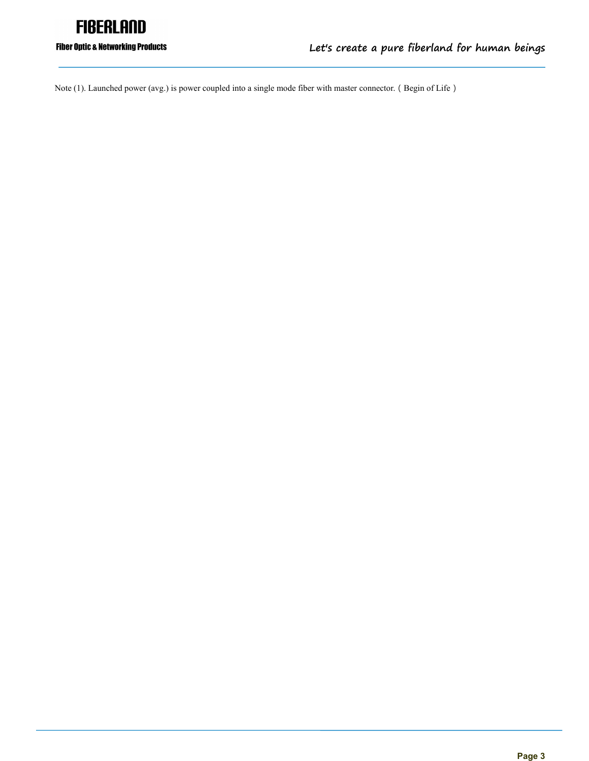

#### **Fiber Optic & Networking Products**

Note (1). Launched power (avg.) is power coupled into a single mode fiber with master connector. (Begin of Life)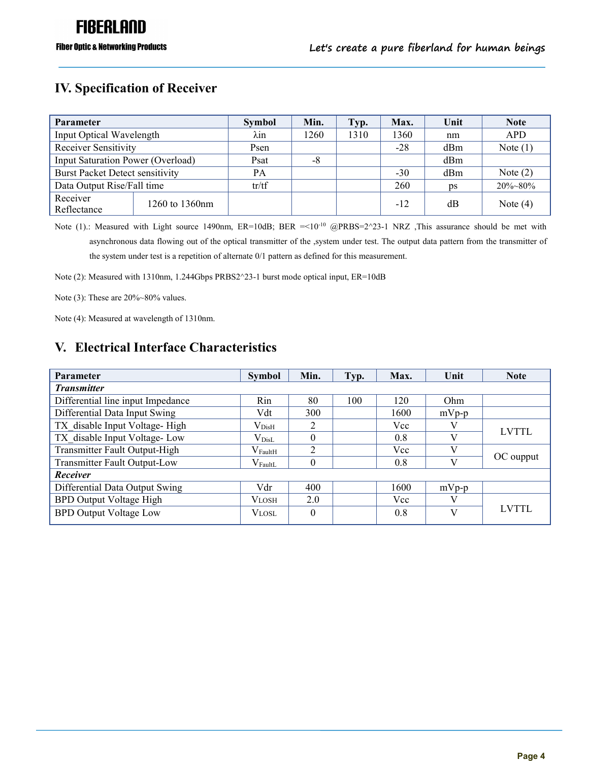#### **IV. Specification of Receiver**

| <b>Parameter</b>                       |                | <b>Symbol</b> | Min. | Typ. | Max.  | Unit           | <b>Note</b>   |
|----------------------------------------|----------------|---------------|------|------|-------|----------------|---------------|
| Input Optical Wavelength               |                | λin           | 1260 | 1310 | 1360  | nm             | <b>APD</b>    |
| Receiver Sensitivity                   |                | Psen          |      |      | $-28$ | dBm            | Note $(1)$    |
| Input Saturation Power (Overload)      |                | Psat          | -8   |      |       | dBm            |               |
| <b>Burst Packet Detect sensitivity</b> |                | PA            |      |      | $-30$ | dBm            | Note $(2)$    |
| Data Output Rise/Fall time             |                | tr/tf         |      |      | 260   | $\mathbf{p}$ s | $20\% - 80\%$ |
| Receiver<br>Reflectance                | 1260 to 1360nm |               |      |      | $-12$ | dB             | Note $(4)$    |

Note (1).: Measured with Light source 1490nm,  $ER=10dB$ ; BER  $=<10^{-10}$  @PRBS=2^23-1 NRZ ,This assurance should be met with asynchronous data flowing out of the optical transmitter of the ,system under test. The output data pattern from the transmitter of the system under test is a repetition of alternate 0/1 pattern as defined for this measurement.

Note (2): Measured with 1310nm, 1.244Gbps PRBS2^23-1 burst mode optical input, ER=10dB

Note (3): These are 20%~80% values.

Note (4): Measured at wavelength of 1310nm.

#### **V. Electrical Interface Characteristics**

| <b>Parameter</b>                  | <b>Symbol</b>      | Min.          | Typ. | Max. | Unit         | <b>Note</b>  |  |
|-----------------------------------|--------------------|---------------|------|------|--------------|--------------|--|
| <b>Transmitter</b>                |                    |               |      |      |              |              |  |
| Differential line input Impedance | Rin                | 80            | 100  | 120  | Ohm          |              |  |
| Differential Data Input Swing     | Vdt                | 300           |      | 1600 | $mVp-p$      |              |  |
| TX disable Input Voltage-High     | $\rm V_{\rm Dist}$ | $\mathcal{L}$ |      | Vcc  |              | <b>LVTTL</b> |  |
| TX disable Input Voltage-Low      | $\rm V_{Dist}$     |               |      | 0.8  | $\mathbf{V}$ |              |  |
| Transmitter Fault Output-High     | $\rm V_{FaultH}$   | C             |      | Vcc  |              |              |  |
| Transmitter Fault Output-Low      | $\rm V_{FaultL}$   |               |      | 0.8  | $\mathbf{V}$ | OC oupput    |  |
| Receiver                          |                    |               |      |      |              |              |  |
| Differential Data Output Swing    | Vdr                | 400           |      | 1600 | $mVp-p$      |              |  |
| <b>BPD Output Voltage High</b>    | <b>VLOSH</b>       | 2.0           |      | Vcc  | V            |              |  |
| <b>BPD Output Voltage Low</b>     | VLOSL              | $\theta$      |      | 0.8  | $\mathbf{V}$ | <b>LVTTL</b> |  |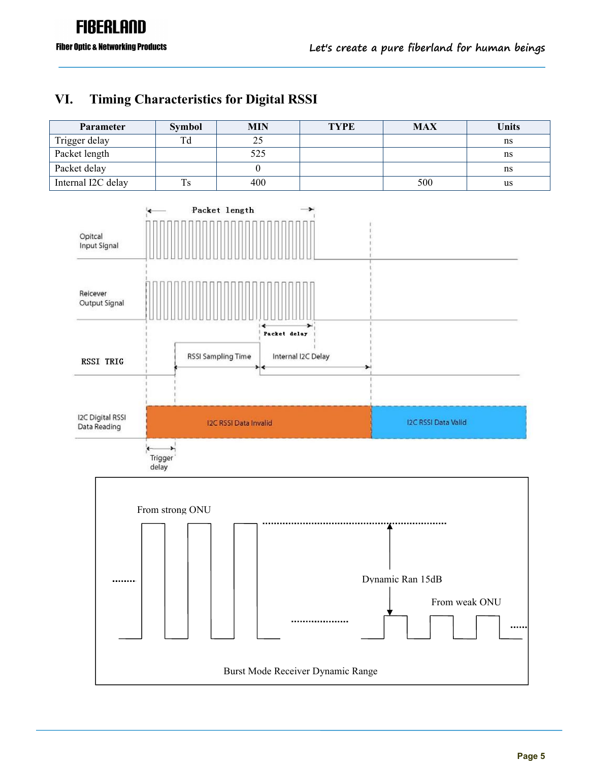#### **VI. Timing Characteristics for DigitalRSSI**

| Parameter          | <b>Symbol</b> | <b>MIN</b> | <b>TYPE</b> | <b>MAX</b> | <b>Units</b> |
|--------------------|---------------|------------|-------------|------------|--------------|
| Trigger delay      | Td            | 25         |             |            | ns           |
| Packet length      |               | 525        |             |            | ns           |
| Packet delay       |               |            |             |            | ns           |
| Internal I2C delay | Ts            | 400        |             | 500        | us           |

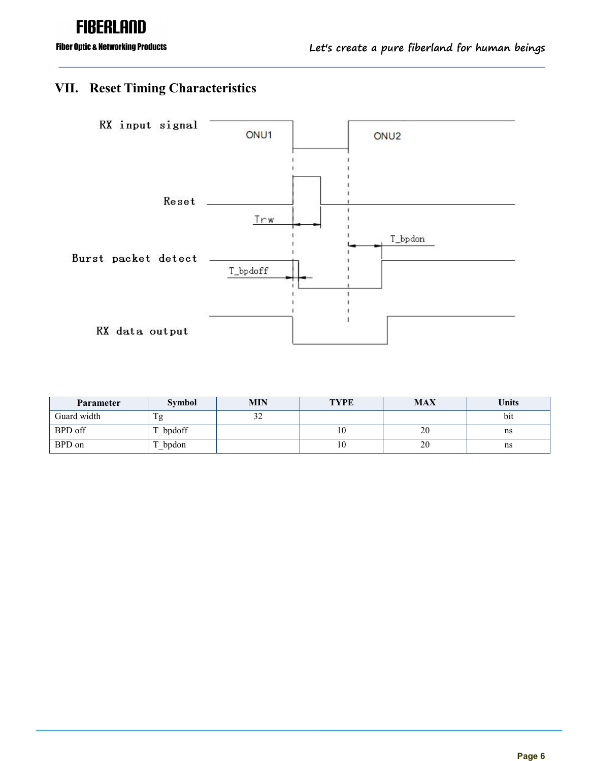# **FIBERLAND**

**Fiber Optic & Networking Products** 

### **VII. Reset Timing Characteristics**



| <b>Parameter</b> | <b>Symbol</b> | <b>MIN</b>    | <b>TYPE</b> | <b>MAX</b> | <b>Units</b> |
|------------------|---------------|---------------|-------------|------------|--------------|
| Guard width      |               | $\sim$<br>ے ر |             |            | bit          |
| BPD off          | bpdoff        |               | 10          | 20         | ns           |
| BPD on           | bpdon         |               | 10          | 20         | ns           |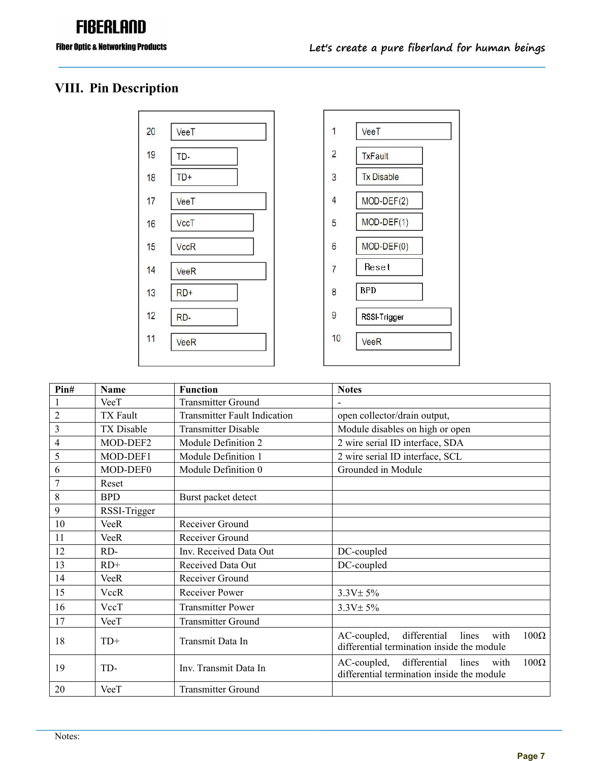# **FIBERLAND**

### **VIII. Pin Description**



| 1              | VeeT              |  |
|----------------|-------------------|--|
| $\overline{c}$ | <b>TxFault</b>    |  |
| 3              | <b>Tx Disable</b> |  |
| 4              | $MOD-DEF(2)$      |  |
| 5              | MOD-DEF(1)        |  |
| 6              | MOD-DEF(0)        |  |
| 7              | Reset             |  |
| 8              | <b>BPD</b>        |  |
| 9              | RSSI-Trigger      |  |
| 10             | <b>VeeR</b>       |  |

| Pin#           | <b>Name</b>  | <b>Function</b>                     | <b>Notes</b>                                                                                           |
|----------------|--------------|-------------------------------------|--------------------------------------------------------------------------------------------------------|
|                | VeeT         | <b>Transmitter Ground</b>           |                                                                                                        |
| $\overline{c}$ | TX Fault     | <b>Transmitter Fault Indication</b> | open collector/drain output,                                                                           |
| $\mathfrak{Z}$ | TX Disable   | <b>Transmitter Disable</b>          | Module disables on high or open                                                                        |
| $\overline{4}$ | MOD-DEF2     | Module Definition 2                 | 2 wire serial ID interface, SDA                                                                        |
| 5              | MOD-DEF1     | Module Definition 1                 | 2 wire serial ID interface, SCL                                                                        |
| $\sqrt{6}$     | MOD-DEF0     | Module Definition 0                 | Grounded in Module                                                                                     |
| $\overline{7}$ | Reset        |                                     |                                                                                                        |
| $\,8\,$        | <b>BPD</b>   | Burst packet detect                 |                                                                                                        |
| $\overline{9}$ | RSSI-Trigger |                                     |                                                                                                        |
| 10             | <b>VeeR</b>  | Receiver Ground                     |                                                                                                        |
| 11             | <b>VeeR</b>  | Receiver Ground                     |                                                                                                        |
| 12             | RD-          | Inv. Received Data Out              | DC-coupled                                                                                             |
| 13             | $RD+$        | Received Data Out                   | DC-coupled                                                                                             |
| 14             | <b>VeeR</b>  | Receiver Ground                     |                                                                                                        |
| 15             | VccR         | Receiver Power                      | $3.3V \pm 5\%$                                                                                         |
| 16             | VccT         | <b>Transmitter Power</b>            | $3.3V \pm 5\%$                                                                                         |
| 17             | VeeT         | <b>Transmitter Ground</b>           |                                                                                                        |
| 18             | $TD+$        | Transmit Data In                    | differential<br>lines with<br>$100\Omega$<br>AC-coupled,<br>differential termination inside the module |
| 19             | TD-          | Inv. Transmit Data In               | $100\Omega$<br>AC-coupled,<br>differential<br>lines with<br>differential termination inside the module |
| 20             | VeeT         | <b>Transmitter Ground</b>           |                                                                                                        |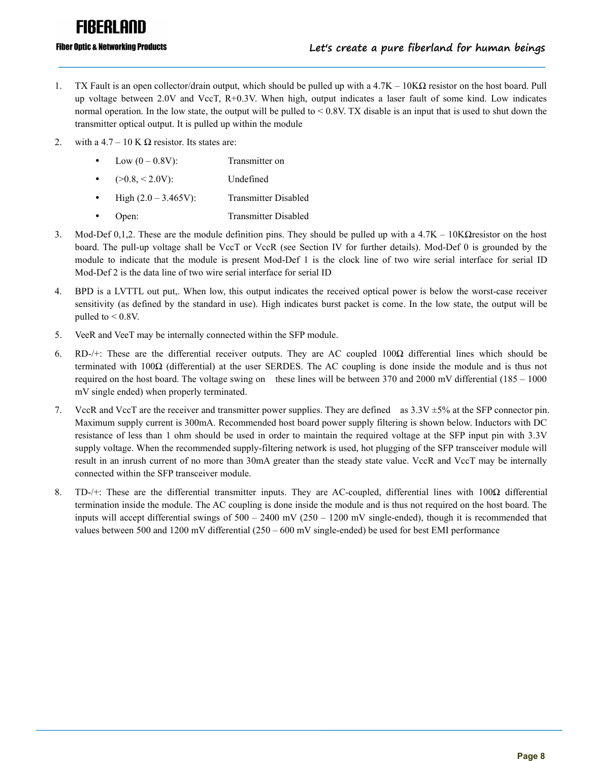# FIRFRI ANN

#### **Fiber Optic & Networking Products**

- 1. TX Fault is an open collector/drain output, which should be pulled up with a 4.7K 10KΩ resistor on the host board. Pull up voltage between 2.0V and VccT, R+0.3V. When high, output indicates a laser fault of some kind. Low indicates normal operation. In the low state, the output will be pulled to  $< 0.8V$ . TX disable is an input that is used to shut down the transmitter optical output. It is pulled up within the module
- 2. with a 4.7 10 K  $\Omega$  resistor. Its states are:
	- Low  $(0 0.8V)$ : Transmitter on
	- $(>0.8, < 2.0V)$ : Undefined
	- $\bullet$  High  $(2.0 3.465V)$ : Transmitter Disabled
	- Open: Transmitter Disabled
- 3. Mod-Def 0,1,2. These are the module definition pins. They should be pulled up with a  $4.7K 10K\Omega$ resistor on the host board. The pull-up voltage shall be VccT or VccR (see Section IV for further details). Mod-Def 0 is grounded by the module to indicate that the module is present Mod-Def 1 is the clock line of two wire serial interface for serial ID Mod-Def 2 is the data line of two wire serial interface for serial ID
- 4. BPD is a LVTTL out put,.When low, this output indicates the received optical power is below the worst-case receiver sensitivity (as defined by the standard in use). High indicates burst packet is come. In the low state, the output will be pulled to < 0.8V.
- 5. VeeR and VeeT may be internally connected within the SFP module.
- 6. RD-/+: These are the differential receiver outputs. They are AC coupled  $100\Omega$  differential lines which should be terminated with  $100\Omega$  (differential) at the user SERDES. The AC coupling is done inside the module and is thus not required on the host board. The voltage swing on these lines will be between 370 and 2000 mV differential (185 – 1000 mV single ended) when properly terminated.<br>7. VccR and VccT are the receiver and transmitter power supplies. They are defined as  $3.3V \pm 5%$  at the SFP connector pin.
- Maximum supply current is 300mA. Recommended host board power supply filtering is shown below. Inductors with DC resistance of less than 1 ohm should be used in order to maintain the required voltage at the SFP input pin with 3.3V supply voltage. When the recommended supply-filtering network is used, hot plugging of the SFP transceiver module will result in an inrush current of no more than 30mA greater than the steady state value. VccR and VccT may be internally connected within the SFP transceiver module.
- 8. TD-/+: These are the differential transmitter inputs. They are AC-coupled, differential lines with  $100\Omega$  differential termination inside the module. The AC coupling is done inside the module and is thus not required on the host board. The inputs will accept differential swings of 500 – 2400 mV (250 – 1200 mV single-ended), though it is recommended that values between 500 and 1200 mV differential (250 – 600 mV single-ended) be used for best EMI performance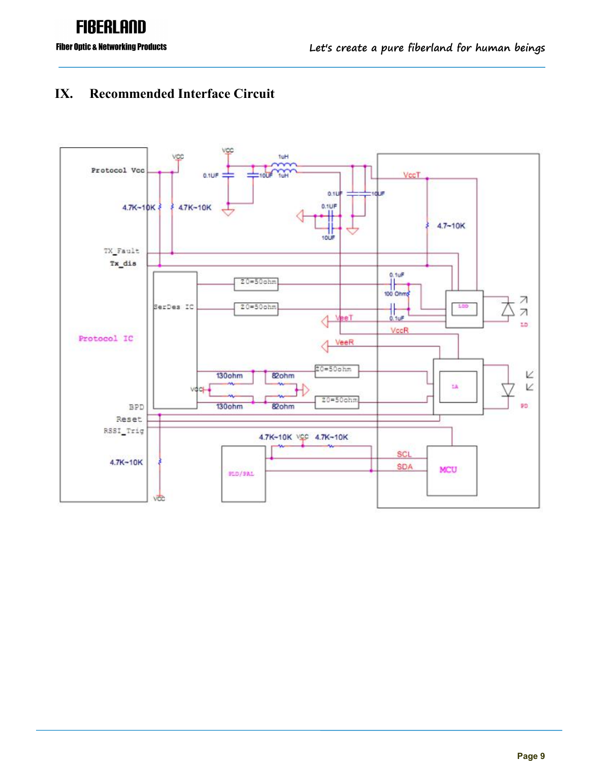## **FIBERLAND Fiber Optic & Networking Products**

#### **IX. Recommended Interface Circuit**